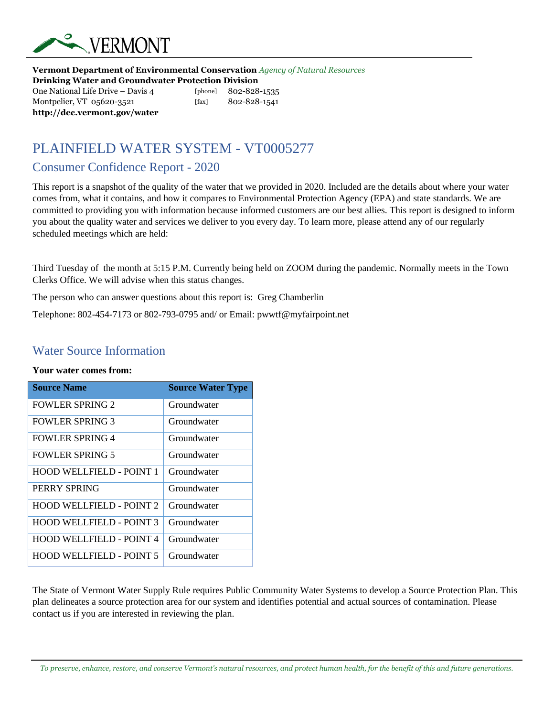

**Vermont Department of Environmental Conservation** *Agency of Natural Resources* **Drinking Water and Groundwater Protection Division**  One National Life Drive – Davis 4 [phone] 802-828-1535

Montpelier, VT 05620-3521 [fax] 802-828-1541 **http://dec.vermont.gov/water**

# PLAINFIELD WATER SYSTEM - VT0005277

### Consumer Confidence Report - 2020

This report is a snapshot of the quality of the water that we provided in 2020. Included are the details about where your water comes from, what it contains, and how it compares to Environmental Protection Agency (EPA) and state standards. We are committed to providing you with information because informed customers are our best allies. This report is designed to inform you about the quality water and services we deliver to you every day. To learn more, please attend any of our regularly scheduled meetings which are held:

Third Tuesday of the month at 5:15 P.M. Currently being held on ZOOM during the pandemic. Normally meets in the Town Clerks Office. We will advise when this status changes.

The person who can answer questions about this report is: Greg Chamberlin

Telephone: 802-454-7173 or 802-793-0795 and/ or Email: pwwtf@myfairpoint.net

### Water Source Information

#### **Your water comes from:**

| <b>Source Name</b>              | <b>Source Water Type</b> |
|---------------------------------|--------------------------|
| <b>FOWLER SPRING 2</b>          | Groundwater              |
| <b>FOWLER SPRING 3</b>          | Groundwater              |
| <b>FOWLER SPRING 4</b>          | Groundwater              |
| <b>FOWLER SPRING 5</b>          | Groundwater              |
| HOOD WELLFIELD - POINT 1        | Groundwater              |
| PERRY SPRING                    | Groundwater              |
| <b>HOOD WELLFIELD - POINT 2</b> | Groundwater              |
| <b>HOOD WELLFIELD - POINT 3</b> | Groundwater              |
| <b>HOOD WELLFIELD - POINT 4</b> | Groundwater              |
| <b>HOOD WELLFIELD - POINT 5</b> | Groundwater              |

The State of Vermont Water Supply Rule requires Public Community Water Systems to develop a Source Protection Plan. This plan delineates a source protection area for our system and identifies potential and actual sources of contamination. Please contact us if you are interested in reviewing the plan.

*To preserve, enhance, restore, and conserve Vermont's natural resources, and protect human health, for the benefit of this and future generations.*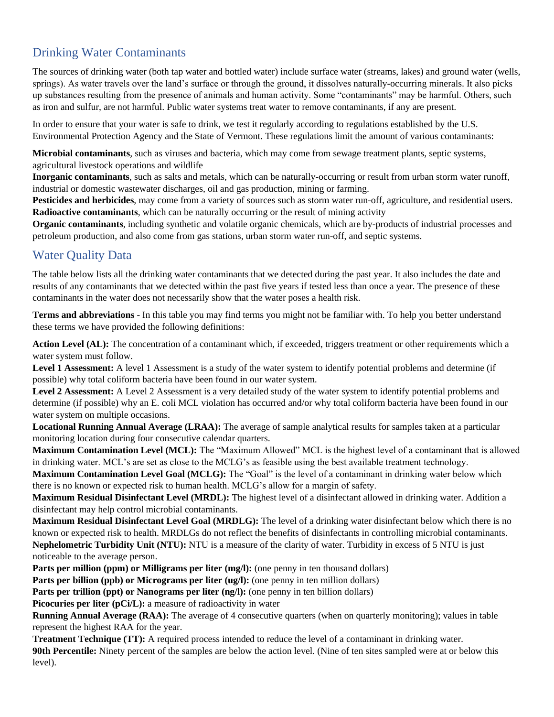## Drinking Water Contaminants

The sources of drinking water (both tap water and bottled water) include surface water (streams, lakes) and ground water (wells, springs). As water travels over the land's surface or through the ground, it dissolves naturally-occurring minerals. It also picks up substances resulting from the presence of animals and human activity. Some "contaminants" may be harmful. Others, such as iron and sulfur, are not harmful. Public water systems treat water to remove contaminants, if any are present.

In order to ensure that your water is safe to drink, we test it regularly according to regulations established by the U.S. Environmental Protection Agency and the State of Vermont. These regulations limit the amount of various contaminants:

**Microbial contaminants**, such as viruses and bacteria, which may come from sewage treatment plants, septic systems, agricultural livestock operations and wildlife

**Inorganic contaminants**, such as salts and metals, which can be naturally-occurring or result from urban storm water runoff, industrial or domestic wastewater discharges, oil and gas production, mining or farming.

**Pesticides and herbicides**, may come from a variety of sources such as storm water run-off, agriculture, and residential users. **Radioactive contaminants**, which can be naturally occurring or the result of mining activity

**Organic contaminants**, including synthetic and volatile organic chemicals, which are by-products of industrial processes and petroleum production, and also come from gas stations, urban storm water run-off, and septic systems.

## Water Quality Data

The table below lists all the drinking water contaminants that we detected during the past year. It also includes the date and results of any contaminants that we detected within the past five years if tested less than once a year. The presence of these contaminants in the water does not necessarily show that the water poses a health risk.

**Terms and abbreviations** - In this table you may find terms you might not be familiar with. To help you better understand these terms we have provided the following definitions:

**Action Level (AL):** The concentration of a contaminant which, if exceeded, triggers treatment or other requirements which a water system must follow.

Level 1 Assessment: A level 1 Assessment is a study of the water system to identify potential problems and determine (if possible) why total coliform bacteria have been found in our water system.

**Level 2 Assessment:** A Level 2 Assessment is a very detailed study of the water system to identify potential problems and determine (if possible) why an E. coli MCL violation has occurred and/or why total coliform bacteria have been found in our water system on multiple occasions.

**Locational Running Annual Average (LRAA):** The average of sample analytical results for samples taken at a particular monitoring location during four consecutive calendar quarters.

**Maximum Contamination Level (MCL):** The "Maximum Allowed" MCL is the highest level of a contaminant that is allowed in drinking water. MCL's are set as close to the MCLG's as feasible using the best available treatment technology.

**Maximum Contamination Level Goal (MCLG):** The "Goal" is the level of a contaminant in drinking water below which there is no known or expected risk to human health. MCLG's allow for a margin of safety.

**Maximum Residual Disinfectant Level (MRDL):** The highest level of a disinfectant allowed in drinking water. Addition a disinfectant may help control microbial contaminants.

**Maximum Residual Disinfectant Level Goal (MRDLG):** The level of a drinking water disinfectant below which there is no known or expected risk to health. MRDLGs do not reflect the benefits of disinfectants in controlling microbial contaminants. **Nephelometric Turbidity Unit (NTU):** NTU is a measure of the clarity of water. Turbidity in excess of 5 NTU is just noticeable to the average person.

**Parts per million (ppm) or Milligrams per liter (mg/l):** (one penny in ten thousand dollars)

**Parts per billion (ppb) or Micrograms per liter (ug/l):** (one penny in ten million dollars)

**Parts per trillion (ppt) or Nanograms per liter (ng/l):** (one penny in ten billion dollars)

**Picocuries per liter (pCi/L):** a measure of radioactivity in water

**Running Annual Average (RAA):** The average of 4 consecutive quarters (when on quarterly monitoring); values in table represent the highest RAA for the year.

**Treatment Technique (TT):** A required process intended to reduce the level of a contaminant in drinking water. **90th Percentile:** Ninety percent of the samples are below the action level. (Nine of ten sites sampled were at or below this level).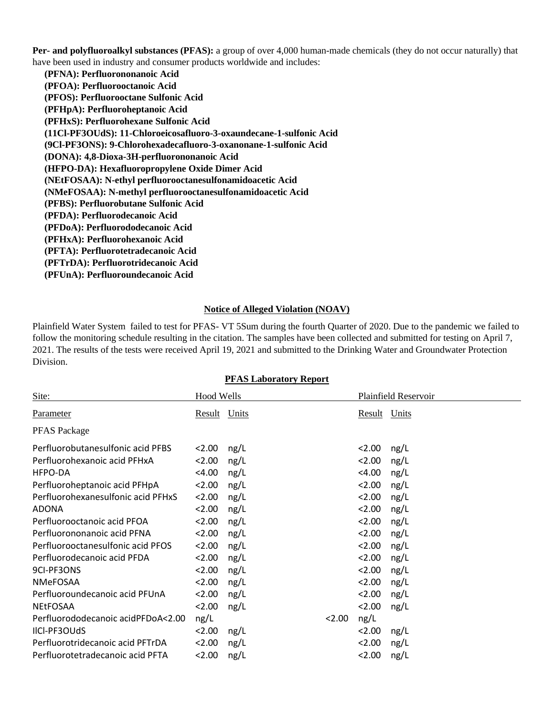**Per- and polyfluoroalkyl substances (PFAS):** a group of over 4,000 human-made chemicals (they do not occur naturally) that have been used in industry and consumer products worldwide and includes:

 **(PFNA): Perfluorononanoic Acid (PFOA): Perfluorooctanoic Acid (PFOS): Perfluorooctane Sulfonic Acid (PFHpA): Perfluoroheptanoic Acid (PFHxS): Perfluorohexane Sulfonic Acid (11Cl-PF3OUdS): 11-Chloroeicosafluoro-3-oxaundecane-1-sulfonic Acid (9Cl-PF3ONS): 9-Chlorohexadecafluoro-3-oxanonane-1-sulfonic Acid (DONA): 4,8-Dioxa-3H-perfluorononanoic Acid (HFPO-DA): Hexafluoropropylene Oxide Dimer Acid (NEtFOSAA): N-ethyl perfluorooctanesulfonamidoacetic Acid (NMeFOSAA): N-methyl perfluorooctanesulfonamidoacetic Acid (PFBS): Perfluorobutane Sulfonic Acid (PFDA): Perfluorodecanoic Acid (PFDoA): Perfluorododecanoic Acid (PFHxA): Perfluorohexanoic Acid (PFTA): Perfluorotetradecanoic Acid (PFTrDA): Perfluorotridecanoic Acid (PFUnA): Perfluoroundecanoic Acid**

#### **Notice of Alleged Violation (NOAV)**

Plainfield Water System failed to test for PFAS- VT 5Sum during the fourth Quarter of 2020. Due to the pandemic we failed to follow the monitoring schedule resulting in the citation. The samples have been collected and submitted for testing on April 7, 2021. The results of the tests were received April 19, 2021 and submitted to the Drinking Water and Groundwater Protection Division.

| Site:                              | <b>Hood Wells</b> |      |      |              | Plainfield Reservoir |
|------------------------------------|-------------------|------|------|--------------|----------------------|
| Parameter                          | Result Units      |      |      | Result Units |                      |
| <b>PFAS</b> Package                |                   |      |      |              |                      |
| Perfluorobutanesulfonic acid PFBS  | 2.00              | ng/L |      | 2.00         | ng/L                 |
| Perfluorohexanoic acid PFHxA       | 2.00              | ng/L |      | 2.00         | ng/L                 |
| HFPO-DA                            | $<$ 4.00          | ng/L |      | $<$ 4.00     | ng/L                 |
| Perfluoroheptanoic acid PFHpA      | 2.00              | ng/L |      | 2.00         | ng/L                 |
| Perfluorohexanesulfonic acid PFHxS | 2.00              | ng/L |      | 2.00         | ng/L                 |
| <b>ADONA</b>                       | 2.00              | ng/L |      | 2.00         | ng/L                 |
| Perfluorooctanoic acid PFOA        | 2.00              | ng/L |      | 2.00         | ng/L                 |
| Perfluorononanoic acid PFNA        | 2.00              | ng/L |      | 2.00         | ng/L                 |
| Perfluorooctanesulfonic acid PFOS  | 2.00              | ng/L |      | < 2.00       | ng/L                 |
| Perfluorodecanoic acid PFDA        | 2.00              | ng/L |      | 2.00         | ng/L                 |
| 9CI-PF3ONS                         | 2.00              | ng/L |      | 2.00         | ng/L                 |
| <b>NMeFOSAA</b>                    | 2.00              | ng/L |      | 2.00         | ng/L                 |
| Perfluoroundecanoic acid PFUnA     | 2.00              | ng/L |      | 2.00         | ng/L                 |
| <b>NEtFOSAA</b>                    | 2.00              | ng/L |      | 2.00         | ng/L                 |
| Perfluorododecanoic acidPFDoA<2.00 | ng/L              |      | 2.00 | ng/L         |                      |
| IICI-PF3OUdS                       | 2.00              | ng/L |      | 2.00         | ng/L                 |
| Perfluorotridecanoic acid PFTrDA   | 2.00              | ng/L |      | 2.00         | ng/L                 |
| Perfluorotetradecanoic acid PFTA   | 2.00              | ng/L |      | 2.00         | ng/L                 |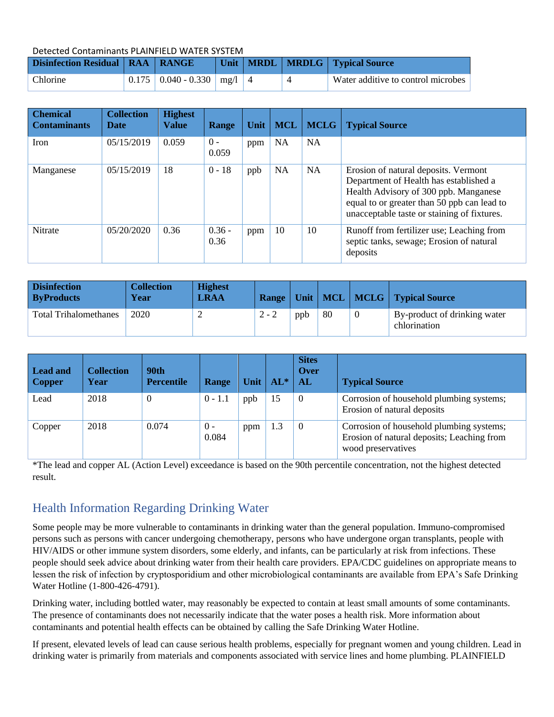Detected Contaminants PLAINFIELD WATER SYSTEM

| <b>Disinfection Residual   RAA   RANGE</b> |                                    |  | Unit   MRDL   MRDLG   Typical Source |
|--------------------------------------------|------------------------------------|--|--------------------------------------|
| Chlorine                                   | $0.175$   0.040 - 0.330   mg/l   4 |  | Water additive to control microbes   |

| <b>Chemical</b><br><b>Contaminants</b> | <b>Collection</b><br><b>Date</b> | <b>Highest</b><br>Value | Range            | Unit | <b>MCL</b> | <b>MCLG</b> | <b>Typical Source</b>                                                                                                                                                                                                 |
|----------------------------------------|----------------------------------|-------------------------|------------------|------|------------|-------------|-----------------------------------------------------------------------------------------------------------------------------------------------------------------------------------------------------------------------|
| Iron                                   | 05/15/2019                       | 0.059                   | $0 -$<br>0.059   | ppm  | <b>NA</b>  | <b>NA</b>   |                                                                                                                                                                                                                       |
| Manganese                              | 05/15/2019                       | 18                      | $0 - 18$         | ppb  | <b>NA</b>  | <b>NA</b>   | Erosion of natural deposits. Vermont<br>Department of Health has established a<br>Health Advisory of 300 ppb. Manganese<br>equal to or greater than 50 ppb can lead to<br>unacceptable taste or staining of fixtures. |
| <b>Nitrate</b>                         | 05/20/2020                       | 0.36                    | $0.36 -$<br>0.36 | ppm  | 10         | 10          | Runoff from fertilizer use; Leaching from<br>septic tanks, sewage; Erosion of natural<br>deposits                                                                                                                     |

| <b>Disinfection</b><br><b>ByProducts</b> | <b>Collection</b><br>Year | <b>Highest</b><br><b>LRAA</b> |         |     |     |          | <b>Range   Unit   MCL   MCLG   Typical Source</b> |
|------------------------------------------|---------------------------|-------------------------------|---------|-----|-----|----------|---------------------------------------------------|
| <b>Total Trihalomethanes</b>             | 2020                      |                               | $2 - 2$ | ppb | -80 | $\theta$ | By-product of drinking water<br>chlorination      |

| Lead and<br><b>Copper</b> | <b>Collection</b><br>Year | 90th<br><b>Percentile</b> | <b>Range</b>   | Unit | $AL^*$ | <b>Sites</b><br><b>Over</b><br>AL | <b>Typical Source</b>                                                                                        |
|---------------------------|---------------------------|---------------------------|----------------|------|--------|-----------------------------------|--------------------------------------------------------------------------------------------------------------|
| Lead                      | 2018                      | $\theta$                  | $0 - 1.1$      | ppb  | 15     | $\theta$                          | Corrosion of household plumbing systems;<br>Erosion of natural deposits                                      |
| Copper                    | 2018                      | 0.074                     | $0 -$<br>0.084 | ppm  | 1.3    | $\theta$                          | Corrosion of household plumbing systems;<br>Erosion of natural deposits; Leaching from<br>wood preservatives |

\*The lead and copper AL (Action Level) exceedance is based on the 90th percentile concentration, not the highest detected result.

## Health Information Regarding Drinking Water

Some people may be more vulnerable to contaminants in drinking water than the general population. Immuno-compromised persons such as persons with cancer undergoing chemotherapy, persons who have undergone organ transplants, people with HIV/AIDS or other immune system disorders, some elderly, and infants, can be particularly at risk from infections. These people should seek advice about drinking water from their health care providers. EPA/CDC guidelines on appropriate means to lessen the risk of infection by cryptosporidium and other microbiological contaminants are available from EPA's Safe Drinking Water Hotline (1-800-426-4791).

Drinking water, including bottled water, may reasonably be expected to contain at least small amounts of some contaminants. The presence of contaminants does not necessarily indicate that the water poses a health risk. More information about contaminants and potential health effects can be obtained by calling the Safe Drinking Water Hotline.

If present, elevated levels of lead can cause serious health problems, especially for pregnant women and young children. Lead in drinking water is primarily from materials and components associated with service lines and home plumbing. PLAINFIELD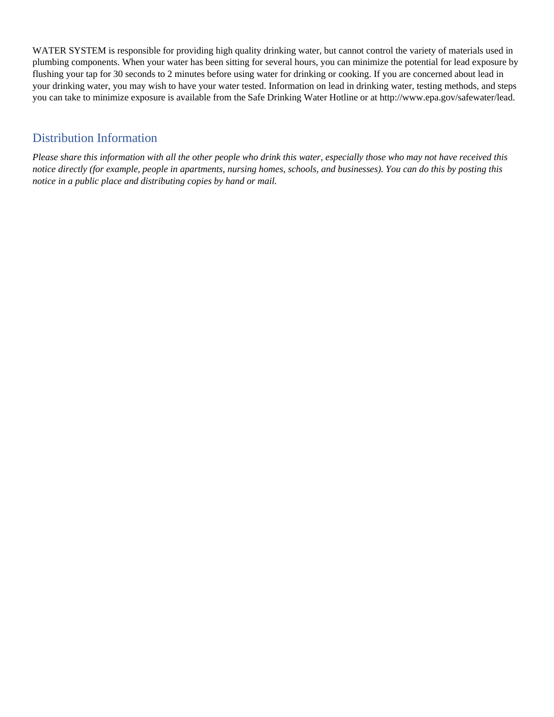WATER SYSTEM is responsible for providing high quality drinking water, but cannot control the variety of materials used in plumbing components. When your water has been sitting for several hours, you can minimize the potential for lead exposure by flushing your tap for 30 seconds to 2 minutes before using water for drinking or cooking. If you are concerned about lead in your drinking water, you may wish to have your water tested. Information on lead in drinking water, testing methods, and steps you can take to minimize exposure is available from the Safe Drinking Water Hotline or a[t http://www.epa.gov/safewater/lead.](http://www.epa.gov/safewater/lead)

### Distribution Information

*Please share this information with all the other people who drink this water, especially those who may not have received this notice directly (for example, people in apartments, nursing homes, schools, and businesses). You can do this by posting this notice in a public place and distributing copies by hand or mail.*